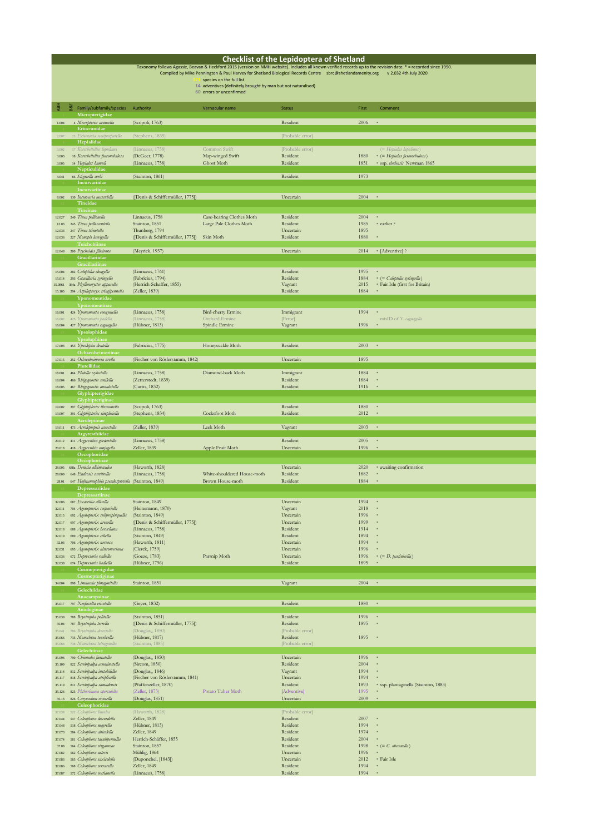|                  |    |                                                                                |                                                      |                                                                                                                                                                  | <b>Checklist of the Lepidoptera of Shetland</b> |              |                                                        |
|------------------|----|--------------------------------------------------------------------------------|------------------------------------------------------|------------------------------------------------------------------------------------------------------------------------------------------------------------------|-------------------------------------------------|--------------|--------------------------------------------------------|
|                  |    |                                                                                |                                                      | Taxonomy follows Agassiz, Beavan & Heckford 2015 (version on NMH website). Includes all known verified records up to the revision date. * = recorded since 1990. |                                                 |              |                                                        |
|                  |    |                                                                                |                                                      | Compiled by Mike Pennington & Paul Harvey for Shetland Biological Records Centre sbrc@shetlandamenity.org<br>species on the full list                            |                                                 |              | v 2.032 4th July 2020                                  |
|                  |    |                                                                                |                                                      | 14 adventives (definitely brought by man but not naturalised)                                                                                                    |                                                 |              |                                                        |
|                  |    |                                                                                |                                                      | 60 errors or unconfirmed                                                                                                                                         |                                                 |              |                                                        |
|                  |    |                                                                                |                                                      |                                                                                                                                                                  |                                                 |              |                                                        |
| Å₿H              | 88 | Family/subfamily/species                                                       | Authority                                            | Vernacular name                                                                                                                                                  | <b>Status</b>                                   | First        | Comment                                                |
| 1.004            |    | Micropterigidae<br>4 Micropterix aruncella                                     | (Scopoli, 1763)                                      |                                                                                                                                                                  | Resident                                        | 2006         | $\,$ s                                                 |
|                  |    | Eriocranidae                                                                   |                                                      |                                                                                                                                                                  |                                                 |              |                                                        |
| 2.007            |    | 13 Eriocrania semipurpurella                                                   | (Stephens, 1835)                                     |                                                                                                                                                                  | [Probable error]                                |              |                                                        |
|                  |    | Hepialidae                                                                     |                                                      |                                                                                                                                                                  |                                                 |              |                                                        |
| 3.002<br>3.003   |    | 17 Korscheltellus lupulinus<br>18 Korscheltellus fusconebulosa                 | (Linnaeus, 1758)<br>(DeGeer, 1778)                   | Common Swift<br>Map-winged Swift                                                                                                                                 | [Probable error]<br>Resident                    | 1880         | (= Hepialus lupulinus)<br>* (= Hepialus fusconebulosa) |
| 3.005            |    | 14 Hepialus humuli                                                             | (Linnaeus, 1758)                                     | Ghost Moth                                                                                                                                                       | Resident                                        | 1851         | * ssp. thulensis Newman 1865                           |
|                  |    | Nepticulidae                                                                   |                                                      |                                                                                                                                                                  |                                                 |              |                                                        |
| 4.041            |    | 66 Stigmella sorbi<br>Incurvariidae                                            | (Stainton, 1861)                                     |                                                                                                                                                                  | Resident                                        | 1973         |                                                        |
|                  |    | Incurvariinae                                                                  |                                                      |                                                                                                                                                                  |                                                 |              |                                                        |
|                  |    | 8.002 130 Incurvaria masculella                                                | ([Denis & Schiffermüller, 1775])                     |                                                                                                                                                                  | Uncertain                                       | 2004         | $\bar{\mathbf{x}}$                                     |
|                  |    | Tineidae                                                                       |                                                      |                                                                                                                                                                  |                                                 |              |                                                        |
| 12.027           |    | Tineinae<br>240 Tinea pellionella                                              | Linnaeus, 1758                                       | Case-bearing Clothes Moth                                                                                                                                        | Resident                                        | 2004         | $\ast$                                                 |
| 12.03            |    | 245 Tinea pallescentella                                                       | Stainton, 1851                                       | Large Pale Clothes Moth                                                                                                                                          | Resident                                        | 1985         | * earlier ?                                            |
| 12.033           |    | 247 Tinea trinotella                                                           | Thunberg, 1794                                       |                                                                                                                                                                  | Uncertain                                       | 1895         |                                                        |
| 12.036           |    | 227 Monopis laevigella<br>Teichobiinae                                         | ([Denis & Schiffermüller, 1775]) Skin Moth           |                                                                                                                                                                  | Resident                                        | 1880         | $\ast$                                                 |
| 12.048           |    | 200 Psychoides filicivora                                                      | (Meyrick, 1937)                                      |                                                                                                                                                                  | Uncertain                                       | 2014         | * [Adventive] ?                                        |
|                  |    | Gracillariidae                                                                 |                                                      |                                                                                                                                                                  |                                                 |              |                                                        |
|                  |    | Gracillariinae                                                                 | (Linnaeus, 1761)                                     |                                                                                                                                                                  | Resident                                        | 1995         |                                                        |
| 15.004<br>15.014 |    | 282 Caloptilia elongella<br>293 Gracillaria syringella                         | (Fabricius, 1794)                                    |                                                                                                                                                                  | Resident                                        | 1884         | $*$ (= Caloptilia syringella)                          |
| 15.0861          |    | 364a Phyllonorycter apparella                                                  | (Herrich-Schaffer, 1855)                             |                                                                                                                                                                  | Vagrant                                         | 2015         | * Fair Isle (first for Britain)                        |
| 15.105           |    | 294 Aspilapteryx tringipennella                                                | (Zeller, 1839)                                       |                                                                                                                                                                  | Resident                                        | 1884         |                                                        |
|                  |    | Yponomeutidae<br>Yponomeutinae                                                 |                                                      |                                                                                                                                                                  |                                                 |              |                                                        |
| 16.001           |    | 424 Yponomeuta evonymella                                                      | (Linnaeus, 1758)                                     | Bird-cherry Ermine                                                                                                                                               | Immigrant                                       | 1994         |                                                        |
| 16.002           |    | 425 Yponomenta padella                                                         | (Linnaeus, 1758)                                     | Orchard Ermine                                                                                                                                                   | [Error]                                         |              | misID of Y. cagnagella                                 |
| 16.004           |    | 427 Yponomeuta cagnagella                                                      | (Hübner, 1813)                                       | Spindle Ermine                                                                                                                                                   | Vagrant                                         | 1996         |                                                        |
|                  |    | Ypsolophidae<br>Ypsolophinae                                                   |                                                      |                                                                                                                                                                  |                                                 |              |                                                        |
| 17.003           |    | 453 Ypsolopha dentella                                                         | (Fabricius, 1775)                                    | Honeysuckle Moth                                                                                                                                                 | Resident                                        | 2003         | $\ast$                                                 |
|                  |    | Ochsenheimeriinae                                                              |                                                      |                                                                                                                                                                  |                                                 |              |                                                        |
| 17.015           |    | 252 Ochsenheimeria urella<br>Plutellidae                                       | (Fischer von Röslerstamm, 1842)                      |                                                                                                                                                                  | Uncertain                                       | 1895         |                                                        |
| 18.001           |    | 464 Plutella xylostella                                                        | (Linnaeus, 1758)                                     | Diamond-back Moth                                                                                                                                                | Immigrant                                       | 1884         | $\overline{\phantom{a}}$                               |
| 18.004           |    | 466 Rhigognostis senilella                                                     | (Zetterstedt, 1839)                                  |                                                                                                                                                                  | Resident                                        | 1884         | $\ast$                                                 |
| 18.005           |    | 467 Rhigognostis annulatella                                                   | (Curtis, 1832)                                       |                                                                                                                                                                  | Resident                                        | 1916         | $\overline{\phantom{a}}$                               |
|                  |    | Glyphipterigidae<br>Glyphipteriginae                                           |                                                      |                                                                                                                                                                  |                                                 |              |                                                        |
| 19.002           |    | 397 Glyphipterix thrasonella                                                   | (Scopoli, 1763)                                      |                                                                                                                                                                  | Resident                                        | 1880         | $\ast$                                                 |
| 19.007           |    | 391 Glyphipterix simpliciella                                                  | (Stephens, 1834)                                     | Cocksfoot Moth                                                                                                                                                   | Resident                                        | 2012         | $\overline{\phantom{a}}$                               |
| 19.011           |    | Acrolepiinae<br>473 Acrolepiopsis assectella                                   | (Zeller, 1839)                                       | Leek Moth                                                                                                                                                        | Vagrant                                         | 2003         | $\,$ s                                                 |
|                  |    | Argyresthiidae                                                                 |                                                      |                                                                                                                                                                  |                                                 |              |                                                        |
| 20.012           |    | 411 Argyresthia goedartella                                                    | (Linnaeus, 1758)                                     |                                                                                                                                                                  | Resident                                        | 2005         | $\ast$                                                 |
| 20.018           |    | 418 Argyresthia conjugella<br>Oecophoridae                                     | Zeller, 1839                                         | Apple Fruit Moth                                                                                                                                                 | Uncertain                                       | 1996         | $\,$ s.                                                |
|                  |    | Oecophorinae                                                                   |                                                      |                                                                                                                                                                  |                                                 |              |                                                        |
| 28.005           |    | 638a Denisia albimaculea                                                       | (Haworth, 1828)                                      |                                                                                                                                                                  | Uncertain                                       | 2020         | * awaiting confirmation                                |
| 28.009           |    | 648 Endrosis sarcitrella<br>647 Hofmannophila pseudospretella (Stainton, 1849) | (Linnaeus, 1758)                                     | White-shouldered House-moth<br>Brown House-moth                                                                                                                  | Resident<br>Resident                            | 1882<br>1884 | $\ast$                                                 |
| 28.01            |    | Depressariidae                                                                 |                                                      |                                                                                                                                                                  |                                                 |              |                                                        |
|                  |    | Depressariinae                                                                 |                                                      |                                                                                                                                                                  |                                                 |              |                                                        |
| 32.006           |    | 687 Exaeritia allisella                                                        | Stainton, 1849                                       |                                                                                                                                                                  | Uncertain                                       | 1994         |                                                        |
| 32.011<br>32.015 |    | 704 Agonopterix scopariella<br>692 Agonopterix subpropinquella                 | (Heinemann, 1870)<br>(Stainton, 1849)                |                                                                                                                                                                  | Vagrant<br>Uncertain                            | 2018<br>1996 |                                                        |
| 32.017           |    | 697 Agonopterix arenella                                                       | ([Denis & Schiffermüller, 1775])                     |                                                                                                                                                                  | Uncertain                                       | 1999         |                                                        |
| 32.018           |    | 688 Agonopterix heracliana                                                     | (Linnaeus, 1758)                                     |                                                                                                                                                                  | Resident                                        | 1914         |                                                        |
| 32.019<br>32.03  |    | 689 Agonopterix ciliella<br>706 Agonopterix nervosa                            | (Stainton, 1849)<br>(Haworth, 1811)                  |                                                                                                                                                                  | Resident<br>Uncertain                           | 1894<br>1994 |                                                        |
| 32.031           |    | 695 Agonopterix alstromeriana                                                  | (Clerck, 1759)                                       |                                                                                                                                                                  | Uncertain                                       | 1996         | $\ast$                                                 |
| 32.036           |    | 672 Depressaria radiella                                                       | (Goeze, 1783)                                        | Parsnip Moth                                                                                                                                                     | Uncertain                                       | 1996         | $= (D.$ pastinicella)                                  |
| 32.038           |    | 674 Depressaria badiella<br>Cosmopterigidae                                    | (Hübner, 1796)                                       |                                                                                                                                                                  | Resident                                        | 1895         |                                                        |
|                  |    | Cosmopteriginae                                                                |                                                      |                                                                                                                                                                  |                                                 |              |                                                        |
|                  |    | 34.004 898 Limnaecia phragmitella                                              | Stainton, 1851                                       |                                                                                                                                                                  | Vagrant                                         | 2004         | $\bar{\mathbf{x}}$                                     |
|                  |    | Gelechiidae                                                                    |                                                      |                                                                                                                                                                  |                                                 |              |                                                        |
| 35.017           |    | Anacampsinae<br>797 Neofaculta ericetella                                      | (Geyer, 1832)                                        |                                                                                                                                                                  | Resident                                        | 1880         | $\ast$                                                 |
|                  |    | Amologinae                                                                     |                                                      |                                                                                                                                                                  |                                                 |              |                                                        |
| 35.039           |    | 788 Bryotropha politella                                                       | (Stainton, 1851)                                     |                                                                                                                                                                  | Resident                                        | 1996         | $\ast$                                                 |
| 35.04<br>35.041  |    | 787 Bryotropha terrella<br>786 Bryotropha desertella                           | ([Denis & Schiffermüller, 1775])<br>(Douglas,, 1850) |                                                                                                                                                                  | Resident<br>[Probable error]                    | 1895         | $\ast$                                                 |
| 35,066           |    | 735 Monochroa tenebrella                                                       | (Hübner, 1817)                                       |                                                                                                                                                                  | Resident                                        | 1895         | $\,$ s                                                 |
| 35,068           |    | 738 Monochroa tetragonella                                                     | (Stainton, 1885)                                     |                                                                                                                                                                  | [Probable error]                                |              |                                                        |
|                  |    | Gelechiinae                                                                    |                                                      |                                                                                                                                                                  |                                                 |              |                                                        |
| 35.096<br>35.109 |    | 790 Chionodes fumatella<br>822 Scrobipalpa acuminatella                        | (Douglas,, 1850)<br>(Sircom, 1850)                   |                                                                                                                                                                  | Uncertain<br>Resident                           | 1996<br>2004 | $\ast$<br>$\ast$                                       |
| 35.114           |    | 812 Scrobipalpa instabilella                                                   | (Douglas,, 1846)                                     |                                                                                                                                                                  | Vagrant                                         | 1994         | $\ast$                                                 |
| 35.117           |    | 818 Scrobipalpa atriplicella                                                   | (Fischer von Röslerstamm, 1841)                      |                                                                                                                                                                  | Uncertain                                       | 1994         |                                                        |
| 35.119<br>35.126 |    | 811 Scrobipalpa samadensis<br>825 Phthorimaea opervulella                      | (Pfaffenzeller, 1870)<br>(Zeller, 1873)              | Potato Tuber Moth                                                                                                                                                | Resident<br>[Adventive]                         | 1893<br>1995 | * ssp. plantaginella (Stainton, 1883)                  |
| 35.13            |    | 826 Caryocolum vicinella                                                       | (Douglas, 1851)                                      |                                                                                                                                                                  | Uncertain                                       | 2009         |                                                        |
|                  |    | Coleophoridae                                                                  |                                                      |                                                                                                                                                                  |                                                 |              |                                                        |
| 37.038           |    | 522 Coleophora lineolea                                                        | (Haworth, 1828)                                      |                                                                                                                                                                  | [Probable error]                                | 2007         |                                                        |
| 37.044<br>37.048 |    | 547 Coleophora discordella<br>518 Coleophora mayrella                          | Zeller, 1849<br>(Hübner, 1813)                       |                                                                                                                                                                  | Resident<br>Resident                            | 1994         |                                                        |
| 37.073           |    | 584 Coleophora alticolella                                                     | Zeller, 1849                                         |                                                                                                                                                                  | Resident                                        | 1974         |                                                        |
| 37.074           |    | 581 Coleophora taeniipennella                                                  | Herrich-Schäffer, 1855                               |                                                                                                                                                                  | Resident                                        | 2004         | $\mathbf{s}$                                           |
| 37.08<br>37.082  |    | 564 Coleophora virgaureae<br>562 Coleophora asteris                            | Stainton, 1857<br>Mühlig, 1864                       |                                                                                                                                                                  | Resident<br>Uncertain                           | 1998<br>1996 | $=$ $\subset$ $\subset$ $\infty$ obscenella            |
| 37.083           |    | 565 Coleophora saxicolella                                                     | (Duponchel, [1843])                                  |                                                                                                                                                                  | Uncertain                                       | 2012         | * Fair Isle                                            |
| 37.086           |    | 568 Coleophora versurella                                                      | Zeller, 1849                                         |                                                                                                                                                                  | Resident                                        | 1994         | $\ast$                                                 |
| 37.087           |    | 572 Coleophora vestianella                                                     | (Linnaeus, 1758)                                     |                                                                                                                                                                  | Resident                                        | 1994         |                                                        |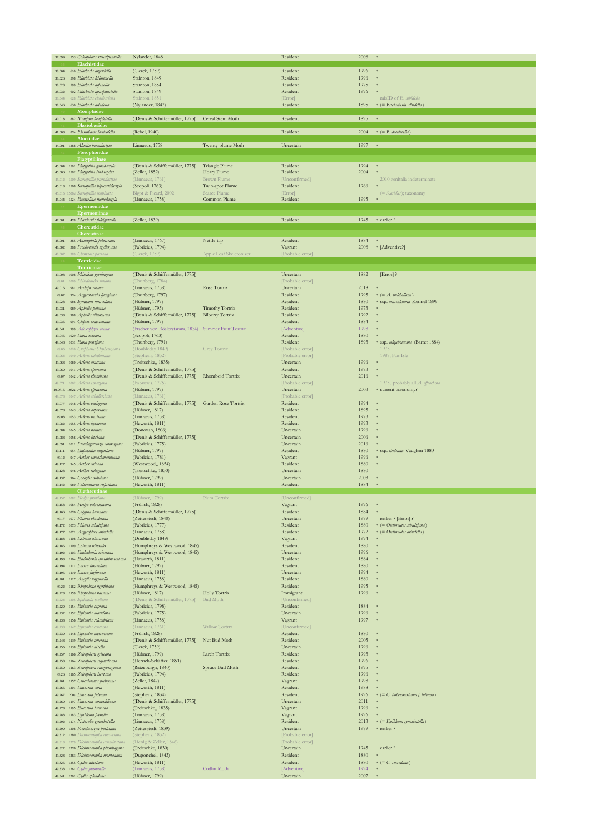| 37,099           | 553 Coleophora striatipennella                                  | Nylander, 1848                                                         |                                 | Resident                     | 2008         |                                                            |
|------------------|-----------------------------------------------------------------|------------------------------------------------------------------------|---------------------------------|------------------------------|--------------|------------------------------------------------------------|
|                  | Elachistidae                                                    |                                                                        |                                 |                              |              |                                                            |
| 38.004           | 610 Elachista argentella<br>598 Elachista kilmunella            | (Clerck, 1759)                                                         |                                 | Resident                     | 1996         |                                                            |
| 38.026<br>38.028 | 599 Elachista alpinella                                         | Stainton, 1849<br>Stainton, 1854                                       |                                 | Resident<br>Resident         | 1996<br>1975 |                                                            |
| 38.032           | 602 Elachista apicipunctella                                    | Stainton, 1849                                                         |                                 | Resident                     | 1996         |                                                            |
| 38.044           | 628 Elachista eleochariella                                     | Stainton, 1851                                                         |                                 | [Error]                      |              | misID of E. albidella                                      |
| 38.046           | 630 Elachista albidella                                         | (Nylander, 1847)                                                       |                                 | Resident                     | 1895         | $*$ (= Biselachista albidella)                             |
|                  | Momphidae                                                       |                                                                        |                                 |                              |              |                                                            |
| 40.013           | 882 Mompha locupletella<br>Blastobasidae                        | ([Denis & Schiffermüller, 1775]) Cereal Stem Moth                      |                                 | Resident                     | 1895         | $\mathbf{s}$                                               |
| 41.003           | 874 Blastobasis lacticolella                                    | (Rebel, 1940)                                                          |                                 | Resident                     | 2004         | $\ast$ (= B. decolorella)                                  |
|                  | Alucitidae                                                      |                                                                        |                                 |                              |              |                                                            |
|                  | 44.001 1288 Alucita hexadactyla                                 | Linnaeus, 1758                                                         | Twenty-plume Moth               | Uncertain                    | 1997         | $\ast$                                                     |
|                  | Pterophoridae<br>Platyptiliinae                                 |                                                                        |                                 |                              |              |                                                            |
|                  | 45.004 1501 Platyptilia gonodactyla                             | ([Denis & Schiffermüller, 1775])                                       | Triangle Plume                  | Resident                     | 1994         |                                                            |
| 45.006           | 1502 Platyptilia isodactylus                                    | (Zeller, 1852)                                                         | Hoary Plume                     | Resident                     | 2004         |                                                            |
| 45.012           | 1509 Stenoptilia pterodactyla                                   | (Linnaeus, 1761)                                                       | <b>Brown Plume</b>              | [Unconfirmed]                |              | 2010 genitalia indeterminate                               |
| 45.013<br>45.015 | 1508 Stenoptilia bipunctidactyla<br>1508d Stenoptilia inopinata | (Scopoli, 1763)<br>Bigot & Picard, 2002                                | Twin-spot Plume<br>Scarce Plume | Resident<br>[Error]          | 1966         | $(= S. \text{aridus})$ ; taxonomy                          |
| 45.044           | 1524 Emmelina monodactyla                                       | (Linnaeus, 1758)                                                       | Common Plume                    | Resident                     | 1995         |                                                            |
|                  | Epermeniidae                                                    |                                                                        |                                 |                              |              |                                                            |
|                  | Epermeniinae                                                    |                                                                        |                                 |                              |              |                                                            |
| 47.001           | 478 Phaulernis fulviguttella<br>Choreutidae                     | (Zeller, 1839)                                                         |                                 | Resident                     | 1945         | * earlier ?                                                |
|                  | Choreutinae                                                     |                                                                        |                                 |                              |              |                                                            |
| 48.001           | 385 Anthophila fabriciana                                       | (Linnaeus, 1767)                                                       | Nettle-tap                      | Resident                     | 1884         |                                                            |
| 48.002           | 388 Prochoreutis myller, ana                                    | (Fabricius, 1794)                                                      |                                 | Vagrant                      | 2008         | * [Adventive?]                                             |
| 18,007           | 389 Choreutis parian<br>Tortricidae                             | (Clerck, 1759)                                                         | Apple Leaf Skeletonizer         | [Probable error]             |              |                                                            |
|                  | Tortricinae                                                     |                                                                        |                                 |                              |              |                                                            |
|                  | 49.008 1008 Philedone gerningana                                | ([Denis & Schiffermüller, 1775])                                       |                                 | Uncertain                    | 1882         | [Error] ?                                                  |
| 49.01            | 1009 Philedonides Iunana                                        | (Thunberg, 1784)                                                       |                                 | [Probable error]             |              |                                                            |
| 49.016<br>49.02  | 981 Archips rosana<br>974 Argyrotaenia ljungiana                | (Linnaeus, 1758)<br>(Thunberg, 1797)                                   | Rose Tortrix                    | Uncertain<br>Resident        | 2018<br>1995 | $*$ (= A. pulchellana)                                     |
| 49.028           | 986 Syndemis musculana                                          | (Hübner, 1799)                                                         |                                 | Resident                     | 1880         | * ssp. musculinana Kennel 1899                             |
| 49.031           | 989 Aphelia paleana                                             | (Hübner, 1793)                                                         | Timothy Tortrix                 | Resident                     | 1973         |                                                            |
| 49.033           | 988 Aphelia viburnana                                           | ([Denis & Schiffermüller, 1775])                                       | <b>Bilberry Tortrix</b>         | Resident                     | 1992         |                                                            |
| 49.035           | 991 Clepsis senecionana<br>999 Adoxophyes orana                 | (Hübner, 1799)<br>(Fischer von Röslerstamm, 1834) Summer Fruit Tortrix |                                 | Resident<br>[Adventive]      | 1884<br>1998 |                                                            |
| 49.041<br>49.045 | 1029 Eana osseana                                               | (Scopoli, 1763)                                                        |                                 | Resident                     | 1880         |                                                            |
| 49.048           | 1031 Eana penziana                                              | (Thunberg, 1791)                                                       |                                 | Resident                     | 1893         | * ssp. colqubounana (Barret 1884)                          |
| 49.05            | 1020 Cnephasia Stephens,iana                                    | (Doubleday 1849)                                                       | Grey Tortrix                    | [Probable error]             |              | 1973                                                       |
| 49,064           | 1040 Acleris caledoniana                                        | (Stephens, 1852)                                                       |                                 | [Probable error]             |              | 1987; Fair Isle                                            |
| 49.068<br>49.069 | 1060 Acleris maccana<br>1041 Acleris sparsana                   | (Treitschke,, 1835)<br>([Denis & Schiffermüller, 1775])                |                                 | Uncertain<br>Resident        | 1996<br>1973 |                                                            |
| 49.07            | 1042 Acleris rhombana                                           | ([Denis & Schiffermüller, 1775])                                       | Rhomboid Tortrix                | Uncertain                    | 2016         |                                                            |
| 49.071           | 1062 Acleris emargana                                           | (Fabricius, 1775)                                                      |                                 | [Probable error]             |              | 1973; probably all A. effractana                           |
|                  | 49.0715 1062a Acleris effractana                                | (Hübner, 1799)                                                         |                                 | Uncertain                    | 2003         | * current taxonomy?                                        |
| 49.073<br>49.077 | 1047 Acleris schaller,iana<br>1048 Acleris variegana            | (Linnaeus, 1761)<br>([Denis & Schiffermüller, 1775])                   | Garden Rose Tortrix             | [Probable error]<br>Resident | 1994         |                                                            |
| 49.078           | 1043 Acleris aspersana                                          | (Hübner, 1817)                                                         |                                 | Resident                     | 1895         |                                                            |
| 49.08            | 1053 Acleris hastiana                                           | (Linnaeus, 1758)                                                       |                                 | Resident                     | 1973         |                                                            |
| 49.082           | 1055 Acleris hyemana<br>1045 Acleris notana                     | (Haworth, 1811)                                                        |                                 | Resident                     | 1993<br>1996 |                                                            |
| 49.084<br>49.088 | 1056 Acleris lipsiana                                           | (Donovan, 1806)<br>([Denis & Schiffermüller, 1775])                    |                                 | Uncertain<br>Uncertain       | 2006         |                                                            |
| 49.091           | 1011 Pseudagyrotoza conwagana                                   | (Fabricius, 1775)                                                      |                                 | Uncertain                    | 2016         |                                                            |
| 49.111           | 954 Eupoecilia angustana                                        | (Hübner, 1799)                                                         |                                 | Resident                     | 1880         | * ssp. thuleana Vaughan 1880                               |
| 49.12            | 947 Aethes smeathmanniana<br>945 Aethes cnicana                 | (Fabricius, 1781)                                                      |                                 | Vagrant<br>Resident          | 1996<br>1880 |                                                            |
| 49.127<br>49.128 | 946 Aethes rubigana                                             | (Westwood,, 1854)<br>(Treitschke, 1830)                                |                                 | Uncertain                    | 1880         |                                                            |
| 49.137           | 964 Cochylis dubitana                                           | (Hübner, 1799)                                                         |                                 | Uncertain                    | 2003         |                                                            |
| 49.142           | 960 Falseuncaria ruficiliana                                    | (Haworth, 1811)                                                        |                                 | Resident                     | 1884         |                                                            |
|                  | Olethreutinae                                                   |                                                                        |                                 |                              |              |                                                            |
| 49.158           | 1084 Hedya ochroleucana                                         | (Hubner, 1799<br>(Frölich, 1828)                                       | Plum Tortrix                    | [Unconfirmed]<br>Vagrant     | 1996         |                                                            |
| 49.166           | 1076 Celypha lacunana                                           | ([Denis & Schiffermüller, 1775])                                       |                                 | Resident                     | 1884         |                                                            |
| 49.17            | 1077 Phiaris obsoletana                                         | (Zetterstedt, 1840)                                                    |                                 | Uncertain                    | 1979         | earlier ? [Error] ?                                        |
| 49.172<br>49.177 | 1073 Phiaris schulziana<br>1071 Argyroploce arbutella           | (Fabricius, 1777)<br>(Linnaeus, 1758)                                  |                                 | Resident<br>Resident         | 1880<br>1972 | * (= Olethreutes schulziana)<br>$= Oletbreutes arbutella)$ |
| 49.183           | 1108 Lobesia abscisana                                          | (Doubleday 1849)                                                       |                                 | Vagrant                      | 1994         |                                                            |
| 49.185           | 1109 Lobesia littoralis                                         | (Humphreys & Westwood, 1845)                                           |                                 | Resident                     | 1880         |                                                            |
| 49.192           | 1103 Endothenia ericetana                                       | (Humphreys & Westwood, 1845)                                           |                                 | Uncertain<br>Resident        | 1996<br>1884 |                                                            |
| 49.193<br>49.194 | 1104 Endothenia quadrimaculana<br>1111 Bactra lancealana        | (Haworth, 1811)<br>(Hübner, 1799)                                      |                                 | Resident                     | 1880         |                                                            |
| 49.195           | 1110 Bactra furfurana                                           | (Haworth, 1811)                                                        |                                 | Uncertain                    | 1994         |                                                            |
| 49.201           | 1117 Ancylis unguicella                                         | (Linnaeus, 1758)                                                       |                                 | Resident                     | 1880         |                                                            |
| 49.22<br>49.223  | 1162 Rhopobota myrtillana<br>1159 Rhopobota naevana             | (Humphreys & Westwood, 1845)<br>(Hübner, 1817)                         | Holly Tortrix                   | Resident<br>Immigrant        | 1995<br>1996 |                                                            |
| 49.224           | 1205 Spilonota ocellana                                         | ([Denis & Schiffermüller, 1775])                                       | Bud Moth                        | [Unconfirmed]                |              |                                                            |
| 49.229           | 1154 Epinotia caprana                                           | (Fabricius, 1798)                                                      |                                 | Resident                     | 1884         |                                                            |
| 49.232           | 1152 Epinotia maculana                                          | (Fabricius, 1775)                                                      |                                 | Uncertain                    | 1996         |                                                            |
| 49.233<br>49.238 | 1156 Epinotia solandriana<br>1147 Epinotia cruciana             | (Linnaeus, 1758)<br>(Linnaeus, 1761)                                   | Willow Tortrix                  | Vagrant<br>[Unconfirmed]     | 1997         |                                                            |
| 49.239           | 1148 Epinotia mercuriana                                        | (Frölich, 1828)                                                        |                                 | Resident                     | 1880         |                                                            |
| 49.248           | 1139 Epinotia tenerana                                          | ([Denis & Schiffermüller, 1775])                                       | Nut Bud Moth                    | Resident                     | 2005         |                                                            |
| 49.255           | 1138 Epinotia nisella                                           | (Clerck, 1759)                                                         |                                 | Uncertain                    | 1996         |                                                            |
| 49.257<br>49.258 | 1166 Zeiraphera griseana<br>1164 Zeiraphera rufimitrana         | (Hübner, 1799)<br>(Herrich-Schäffer, 1851)                             | Larch Tortrix                   | Resident<br>Resident         | 1993<br>1996 |                                                            |
| 49.259           | 1163 Zeiraphera ratzeburgiana                                   | (Ratzeburgh, 1840)                                                     | Spruce Bud Moth                 | Resident                     | 1995         |                                                            |
| 49.26            | 1165 Zeiraphera isertana                                        | (Fabricius, 1794)                                                      |                                 | Resident                     | 1996         |                                                            |
| 49.261           | 1157 Crocidosema plebejana                                      | (Zeller, 1847)                                                         |                                 | Vagrant                      | 1998         |                                                            |
| 49.265<br>49.267 | 1201 Eucosma cana<br>1200a Eucosma fulvana                      | (Haworth, 1811)<br>(Stephens, 1834)                                    |                                 | Resident<br>Resident         | 1988<br>1996 | $*$ (= C. bohenwartiana f. fulvana)                        |
| 49.269           | 1197 Eucosma campoliliana                                       | ([Denis & Schiffermüller, 1775])                                       |                                 | Uncertain                    | 2011         |                                                            |
| 49.273           | 1195 Eucosma lacteana                                           | (Treitschke,, 1835)                                                    |                                 | Vagrant                      | 1996         |                                                            |
| 49.288           | 1183 Epiblema foenella<br>1174 Notocelia cynosbatella           | (Linnaeus, 1758)                                                       |                                 | Vagrant<br>Resident          | 1996<br>2013 |                                                            |
| 49.292<br>49.299 | 1208 Pseudococcyx posticana                                     | (Linnaeus, 1758)<br>(Zetterstedt, 1839)                                |                                 | Uncertain                    | 1979         | * (= Epiblema cynosbatella)<br>* earlier ?                 |
| 49.312           | 1280 Dichrorampha consortana                                    | (Stephens, 1852)                                                       |                                 | [Probable error]             |              |                                                            |
| 49.313           | 1279 Dichrorampha acuminatana                                   | (Lienig & Zeller, 1846)                                                |                                 | [Probable error]             |              |                                                            |
| 49.322           | 1276 Dichrorampha plumbagana<br>1283 Dichrorampha montanana     | (Treitschke, 1830)<br>(Duponchel, 1843)                                |                                 | Uncertain<br>Resident        | 1945<br>1880 | earlier ?                                                  |
| 49.323<br>49.325 | 1255 Cydia ulicetana                                            | (Haworth, 1811)                                                        |                                 | Resident                     | 1880         | $\ast$ (= C. succedana)                                    |
| 49.338           | 1261 Cydia pomonella                                            | (Linnaeus, 1758)                                                       | Codlin Moth                     | [Adventive]                  | 1994         |                                                            |
|                  | 49.341 1261 Cydia splendana                                     | (Hübner, 1799)                                                         |                                 | Uncertain                    | 2007         |                                                            |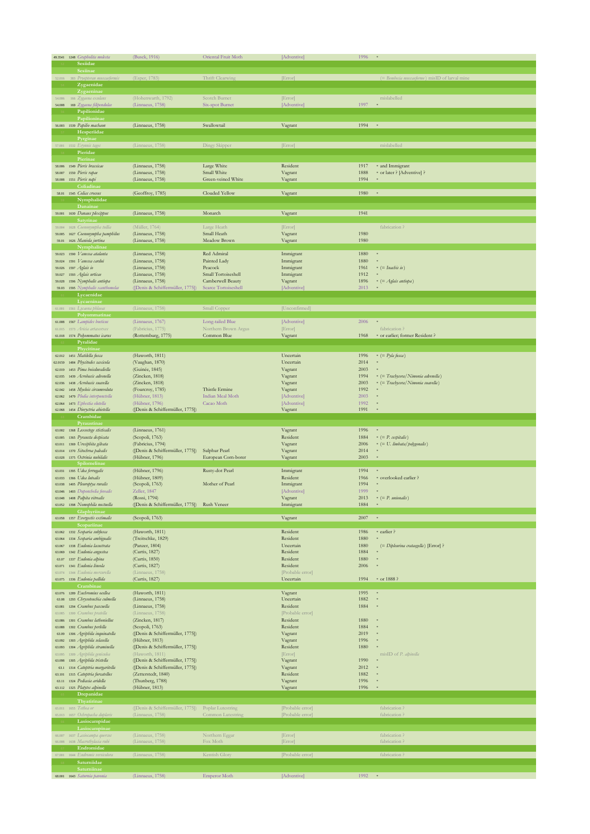|                   | 49.3541 1248 Grapholita molesta                           | (Busck, 1916)                                                 | Oriental Fruit Moth                      | [Adventive]                   | 1996         |                                               |
|-------------------|-----------------------------------------------------------|---------------------------------------------------------------|------------------------------------------|-------------------------------|--------------|-----------------------------------------------|
|                   | <b>Sesiidae</b>                                           |                                                               |                                          |                               |              |                                               |
| 52.016            | Sesiina<br>383 Pryopteran muscaeformis                    | (Esper, 1783)                                                 | Thrift Clearwing                         | [Error]                       |              | (= Bembecia muscaeforme) misID of larval mine |
|                   | Zygaenidae                                                |                                                               |                                          |                               |              |                                               |
|                   | Zygaeninae                                                |                                                               |                                          |                               |              |                                               |
| 54.006            | 166 Zygaena exulans                                       | (Hohenwarth, 1792)                                            | Scotch Burnet                            | [Error]                       |              | mislabelled                                   |
| 54.008            | 169 Zygaena filipendulae<br>Papilionidae                  | (Linnaeus, 1758)                                              | Six-spot Burnet                          | [Adventive]                   | 1997         |                                               |
|                   | Papilioninae                                              |                                                               |                                          |                               |              |                                               |
|                   | 56.003 1539 Papilio machaon                               | (Linnaeus, 1758)                                              | Swallowtail                              | Vagrant                       | 1994         | $\ast$                                        |
|                   | Hesperiidae                                               |                                                               |                                          |                               |              |                                               |
|                   | Pyrginae                                                  |                                                               |                                          |                               |              |                                               |
|                   | 57.001 1532 Erynnis tage<br>Pieridae                      | (Linnaeus, 1758)                                              | Dingy Skipper                            | [Error]                       |              | mislabelled                                   |
|                   | Pierina                                                   |                                                               |                                          |                               |              |                                               |
|                   | 58.006 1549 Pieris brassicae                              | (Linnaeus, 1758)                                              | Large White                              | Resident                      | 1917         | * and Immigrant                               |
|                   | 58.007 1550 Pieris rapae                                  | (Linnaeus, 1758)                                              | Small White                              | Vagrant                       | 1888         | * or later ? [Adventive] ?                    |
|                   | 58.008 1551 Pieris napi                                   | (Linnaeus, 1758)                                              | Green-veined White                       | Vagrant                       | 1994         |                                               |
|                   | Coliadinae<br>58.01 1545 Colias croceus                   | (Geoffroy, 1785)                                              |                                          |                               |              | $\ast$                                        |
|                   | Nymphalidae                                               |                                                               | Clouded Yellow                           | Vagrant                       | 1980         |                                               |
|                   | Danaina                                                   |                                                               |                                          |                               |              |                                               |
|                   | 59.001 1630 Danaus plexippus                              | (Linnaeus, 1758)                                              | Monarch                                  | Vagrant                       | 1941         |                                               |
|                   | Satyrinae                                                 |                                                               |                                          |                               |              |                                               |
| 59.004            | 1628 Coenonympha tullia                                   | (Müller, 1764)                                                | Large Heath<br>Small Heath               | [Error]                       | 1980         | fabrication?                                  |
| 59.005<br>59.01   | 1627 Coenonympha pamphilus<br>1626 Maniola jurtina        | (Linnaeus, 1758)<br>(Linnaeus, 1758)                          | Meadow Brown                             | Vagrant<br>Vagrant            | 1980         |                                               |
|                   | Nymphalinae                                               |                                                               |                                          |                               |              |                                               |
| 59.023            | 1590 Vanessa atalanta                                     | (Linnaeus, 1758)                                              | Red Admiral                              | Immigrant                     | 1880         |                                               |
| 59.024            | 1591 Vanessa cardui                                       | (Linnaeus, 1758)                                              | Painted Lady                             | Immigrant                     | 1880         |                                               |
| 59.026            | 1597 Aglais io                                            | (Linnaeus, 1758)<br>(Linnaeus, 1758)                          | Peacock                                  | Immigrant                     | 1961         | $*$ (= Inachis io)                            |
| 59.027<br>59.028  | 1593 Aglais urticae<br>1596 Nymphalis antiopa             | (Linnaeus, 1758)                                              | Small Tortoiseshell<br>Camberwell Beauty | Immigrant<br>Vagrant          | 1912<br>1896 | $=$ $\left( =$ $\frac{Aglais\ antiopa}{)}$    |
| 59.03             | 1595 Nymphalis xanthomelas                                | ([Denis & Schiffermüller, 1775])                              | Scarce Tortoiseshell                     | [Adventive]                   | 2013         |                                               |
|                   | Lycaenidae                                                |                                                               |                                          |                               |              |                                               |
|                   | Lycaeninae                                                |                                                               |                                          |                               |              |                                               |
|                   | 61.001 1561 Lycaena phlaeas                               | (Linnaeus, 1758)                                              | Small Copper                             | [Unconfirmed]                 |              |                                               |
|                   | Polyommatinae<br>61.008 1567 Lampides boeticus            | (Linnaeus, 1767)                                              | Long-tailed Blue                         | [Adventive]                   | 2006         | $\bar{\mathbf{s}}$                            |
| 61.015            | 1573 Aricia artaxerxes                                    | (Fabricius, 1775)                                             | Northern Brown Argus                     | [Error]                       |              | fabrication?                                  |
|                   | 61.018 1574 Polyommatus icarus                            | (Rottemburg, 1775)                                            | Common Blue                              | Vagrant                       | 1968         | * or earlier; former Resident ?               |
|                   | Pyralidae                                                 |                                                               |                                          |                               |              |                                               |
|                   | Phycitinae                                                |                                                               |                                          |                               |              |                                               |
|                   | 62.012 1451 Matilella fusca                               | (Haworth, 1811)                                               |                                          | Uncertain                     | 1996         | $= (Pyla fusca)$                              |
| 62.0159<br>62.019 | 1484 Phycitodes saxicola<br>1453 Pima boisduvaliella      | (Vaughan, 1870)<br>(Guinée, 1845)                             |                                          | Uncertain<br>Vagrant          | 2014<br>2003 |                                               |
| 62.035            | 1439 Acrobasis advenella                                  | (Zincken, 1818)                                               |                                          | Vagrant                       | 1994         | * (= Trachycera/Nimonia advenella)            |
| 62.036            | 1438 Acrobasis suavella                                   | (Zincken, 1818)                                               |                                          | Vagrant                       | 2003         | * (= Trachycera/Nimonia suavella)             |
| 62.042            | 1458 Myelois circumvoluta                                 | (Fourcroy, 1785)                                              | Thistle Ermine                           | Vagrant                       | 1992         |                                               |
| 62.062            | 1479 Plodia interpunctella                                | (Hübner, 1813)                                                | Indian Meal Moth                         | [Adventive]                   | 2003         |                                               |
| 62.064<br>62.068  | 1473 Ephestia elutella<br>1454 Dioryctria abietella       | (Hübner, 1796)<br>([Denis & Schiffermüller, 1775])            | Cacao Moth                               | [Adventive]<br>Vagrant        | 1992<br>1991 | $\ast$                                        |
|                   |                                                           |                                                               |                                          |                               |              |                                               |
|                   |                                                           |                                                               |                                          |                               |              |                                               |
|                   | Crambidae<br>Pyraustinae                                  |                                                               |                                          |                               |              |                                               |
| 63.002            | 1368 Loxostege sticticalis                                | (Linnaeus, 1761)                                              |                                          | Vagrant                       | 1996         | $\ast$                                        |
| 63.005            | 1365 Pyrausta despicata                                   | (Scopoli, 1763)                                               |                                          | Resident                      | 1884         | $= (P. \; c \epsilon s \rho)$                 |
| 63.011            | 1369 Uresiphita gilvata                                   | (Fabricius, 1794)                                             |                                          | Vagrant                       | 2006         | * (= U. limbata/polygonalis)                  |
| 63.014            | 1370 Sitochroa palealis                                   | ([Denis & Schiffermüller, 1775])                              | Sulphur Pearl                            | Vagrant                       | 2014         | $\ast$<br>×                                   |
| 63.028            | 1375 Ostrinia nubilalis<br>Spilomelinae                   | (Hübner, 1796)                                                | European Corn-borer                      | Vagrant                       | 2003         |                                               |
| 63.031            | 1395 Udea ferrugalis                                      | (Hübner, 1796)                                                | Rusty-dot Pearl                          | Immigrant                     | 1994         | $\bar{\mathbf{s}}$                            |
| 63.033            | 1366 Udea lutealis                                        | (Hübner, 1809)                                                |                                          | Resident                      | 1966         | * overlooked earlier ?                        |
| 63.038            | 1405 Pleuroptya ruralis                                   | (Scopoli, 1763)                                               | Mother of Pearl                          | Immigrant                     | 1994         |                                               |
| 63.046            | 1403 Duponchelia forealis                                 | Zeller, 1847                                                  |                                          | [Adventive]                   | 1999         |                                               |
| 63.048            | 1408 Palpita vitrealis<br>63.052 1398 Nomophila noctuella | (Rossi, 1794)<br>([Denis & Schiffermüller, 1775]) Rush Veneer |                                          | Vagrant<br>Immigrant          | 2013<br>1884 | $\ast$ (= P. <i>unionalis</i> )<br>$\ast$     |
|                   | Glaphyriinae                                              |                                                               |                                          |                               |              |                                               |
|                   | 63.058 1357 Evergestis extimalis                          | (Scopoli, 1763)                                               |                                          | Vagrant                       | 2007         | $\ast$                                        |
|                   | Scopariinae                                               |                                                               |                                          |                               |              |                                               |
| 63.062            | 1332 Scoparia subfusca                                    | (Haworth, 1811)                                               |                                          | Resident                      | 1986         | * earlier ?<br>×                              |
| 63.064<br>63.067  | 1334 Scoparia ambigualis<br>1338 Eudonia lacustrata       | (Treitschke, 1829)<br>(Panzer, 1804)                          |                                          | Resident<br>Uncertain         | 1880<br>1880 | (= Dipleurina crataegella) [Error]?           |
| 63.069            | 1342 Eudonia angustea                                     | (Curtis, 1827)                                                |                                          | Resident                      | 1884         |                                               |
| 63.07             | 1337 Eudonia alpina                                       | (Curtis, 1850)                                                |                                          | Resident                      | 1880         |                                               |
| 63.071<br>63,074  | 1341 Eudonia lineola<br>1344 Eudonia mercurella           | (Curtis, 1827)                                                |                                          | Resident                      | 2006         |                                               |
| 63.075            | 1336 Eudonia pallida                                      | (Linnaeus, 1758)<br>(Curtis, 1827)                            |                                          | [Probable error]<br>Uncertain | 1994         | * or 1888 ?                                   |
|                   | Crambinae                                                 |                                                               |                                          |                               |              |                                               |
| 63.076            | 1289 Euchromius ocellea                                   | (Haworth, 1811)                                               |                                          | Vagrant                       | 1995         | $\ast$                                        |
| 63.08             | 1293 Chrysotenchia culmella                               | (Linnaeus, 1758)                                              |                                          | Uncertain                     | 1882         | x                                             |
| 63.081            | 1294 Crambus pascuella                                    | (Linnaeus, 1758)                                              |                                          | Resident                      | 1884         |                                               |
| 63.085<br>63.086  | 1300 Crambus pratella<br>1301 Crambus lathoniellus        | (Linnaeus, 1758)<br>(Zincken, 1817)                           |                                          | [Probable error]<br>Resident  | 1880         |                                               |
| 63.088            | 1302 Crambus perlella                                     | (Scopoli, 1763)                                               |                                          | Resident                      | 1884         |                                               |
| 63.09             | 1306 Agriphila inquinatella                               | ([Denis & Schiffermüller, 1775])                              |                                          | Vagrant                       | 2019         |                                               |
| 63.092            | 1303 Agriphila selasella                                  | (Hübner, 1813)                                                |                                          | Vagrant                       | 1996         |                                               |
| 63.093            | 1304 Agriphila straminella                                | ([Denis & Schiffermüller, 1775])                              |                                          | Resident                      | 1880         |                                               |
| 63.095<br>63.098  | 1309 Agriphila geniculea<br>1305 Agriphila tristella      | (Haworth, 1811)<br>([Denis & Schiffermüller, 1775])           |                                          | [Error]<br>Vagrant            | 1990         | misID of P. alpinella                         |
| 63.1              | 1314 Catoptria margaritella                               | ([Denis & Schiffermüller, 1775])                              |                                          | Vagrant                       | 2012         |                                               |
| 63.101            | 1315 Catoptria furcatellus                                | (Zetterstedt, 1840)                                           |                                          | Resident                      | 1882         |                                               |
| 63.11             | 1324 Pediasia aridella                                    | (Thunberg, 1788)                                              |                                          | Vagrant                       | 1996         |                                               |
|                   | 63.112 1325 Platytes alpinella                            | (Hübner, 1813)                                                |                                          | Vagrant                       | 1996         |                                               |
|                   | Drepanidae                                                |                                                               |                                          |                               |              |                                               |
|                   | Thyatirinae<br>65.011 1655 Tethea or                      | ([Denis & Schiffermüller, 1775]) Poplar Lutestring            |                                          | [Probable error]              |              | fabrication?                                  |
| 65.013            | 1657 Ochropacha duplaris                                  | (Linnaeus, 1758)                                              | Common Lutestring                        | [Probable error]              |              | fabrication?                                  |
|                   | Lasiocampidae                                             |                                                               |                                          |                               |              |                                               |
|                   | Lasiocampinae                                             |                                                               |                                          |                               |              |                                               |
| 66.007<br>66.008  | 1637 Lasiocampa quercus<br>1638 Macrothylacia rubi        | (Linnaeus, 1758)<br>(Linnaeus, 1758)                          | Northern Eggar<br>Fox Moth               | [Error]<br>[Error]            |              | fabrication?<br>fabrication?                  |
|                   | Endromidae                                                |                                                               |                                          |                               |              |                                               |
|                   | 67.001 1644 Endromis versicolora                          | (Linnaeus, 1758)                                              | Kentish Glory                            | [Probable error]              |              | fabrication?                                  |
|                   | Saturniidae<br>Saturniinae                                |                                                               |                                          |                               |              |                                               |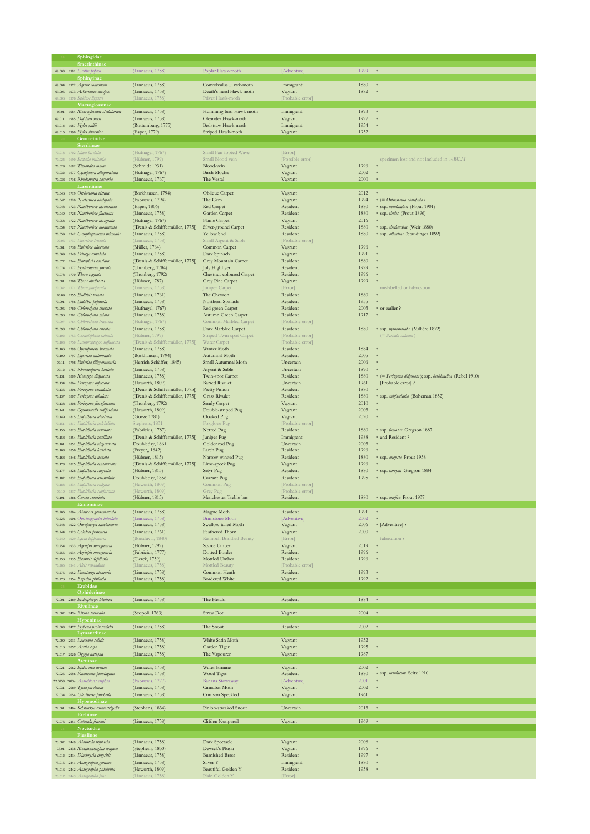|                  | Sphingidae                                                 |                                                      |                                              |                              |              |                                                                              |
|------------------|------------------------------------------------------------|------------------------------------------------------|----------------------------------------------|------------------------------|--------------|------------------------------------------------------------------------------|
|                  | Smerinthina<br>69.003 1981 Laothe populi                   | (Linnaeus, 1758)                                     | Poplar Hawk-moth                             | [Adventive]                  | 1999         | $\ast$                                                                       |
|                  | Sphinginae                                                 |                                                      |                                              |                              |              |                                                                              |
|                  | 69.004 1972 Agrius convolvuli                              | (Linnaeus, 1758)                                     | Convolvulus Hawk-moth                        | Immigrant                    | 1880         | $\ast$                                                                       |
| 69.005           | 1973 Acherontia atropos                                    | (Linnaeus, 1758)                                     | Death's-head Hawk-moth                       | Vagrant                      | 1882         |                                                                              |
| 69.006           | 1976 Sphinx ligustri<br>Macroglossinae                     | (Linnaeus, 1758)                                     | Privet Hawk-moth                             | [Probable error]             |              |                                                                              |
| 69.01            | 1984 Macroglossum stellatarum                              | (Linnaeus, 1758)                                     | Humming-bird Hawk-moth                       | Immigrant                    | 1893         | $\,$ s                                                                       |
| 69.011           | 1985 Daphnis nerii                                         | (Linnaeus, 1758)                                     | Oleander Hawk-moth                           | Vagrant                      | 1997         |                                                                              |
|                  | 69.014 1987 Hyles gallii<br>69.015 1990 Hyles livornica    | (Rottemburg, 1775)<br>(Esper, 1779)                  | Bedstraw Hawk-moth<br>Striped Hawk-moth      | Immigrant<br>Vagrant         | 1934<br>1932 |                                                                              |
|                  | Geometridae                                                |                                                      |                                              |                              |              |                                                                              |
|                  | <b>Sterrhina</b>                                           |                                                      |                                              |                              |              |                                                                              |
|                  | 70.013 1702 Idaea biselata                                 | (Hufnagel, 1767)                                     | Small Fan-footed Wave                        | [Error]                      |              |                                                                              |
| 70.024<br>70.029 | 1690 Scopula imitaria<br>1682 Timandra comae               | (Hübner, 1799)<br>(Schmidt 1931)                     | Small Blood-vein<br>Blood-vein               | [Possible error]<br>Vagrant  | 1996         | specimen lost and not included in ABILM                                      |
| 70.032           | 1677 Cyclophora albipunctata                               | (Hufnagel, 1767)                                     | <b>Birch Mocha</b>                           | Vagrant                      | 2002         |                                                                              |
|                  | 70.038 1716 Rhodometra sacraria                            | (Linnaeus, 1767)                                     | The Vestal                                   | Vagrant                      | 2000         |                                                                              |
|                  | Larentiinae<br>70.046 1719 Orthonama vittata               |                                                      | Oblique Carpet                               |                              | 2012         |                                                                              |
| 70.047           | 1720 Nycterosea obstipata                                  | (Borkhausen, 1794)<br>(Fabricius, 1794)              | The Gem                                      | Vagrant<br>Vagrant           | 1994         | $=(= Orthonama$ obstipata)                                                   |
| 70.048           | 1723 Xanthorboe decoloraria                                | (Esper, 1806)                                        | Red Carpet                                   | Resident                     | 1880         | * ssp. bethlandica (Prout 1901)                                              |
| 70.049           | 1728 Xanthorboe fluctuata                                  | (Linnaeus, 1758)                                     | Garden Carpet                                | Resident                     | 1880         | * ssp. thules (Prout 1896)                                                   |
| 70.053<br>70.054 | 1722 Xanthorboe designata<br>1727 Xanthorboe montanata     | (Hufnagel, 1767)<br>([Denis & Schiffermüller, 1775]) | Flame Carpet<br>Silver-ground Carpet         | Vagrant<br>Resident          | 2016<br>1880 | * ssp. shetlandica (Weir 1880)                                               |
| 70.059           | 1742 Camptogramma bilineata                                | (Linnaeus, 1758)                                     | Yellow Shell                                 | Resident                     | 1880         | * ssp. atlantica (Staudinger 1892)                                           |
| 70.06            | 1737 Epirrhoe tristata                                     | (Linnaeus, 1758)                                     | Small Argent & Sable                         | [Probable error]             |              |                                                                              |
| 70.061           | 1738 Epirrhoe alternata                                    | (Müller, 1764)                                       | Common Carpet                                | Vagrant                      | 1996         |                                                                              |
| 70.069<br>70.072 | 1749 Pelurga comitata<br>1744 Entephria caesiata           | (Linnaeus, 1758)<br>([Denis & Schiffermüller, 1775]) | Dark Spinach<br>Grey Mountain Carpet         | Vagrant<br>Resident          | 1991<br>1880 |                                                                              |
| 70.074           | 1777 Hydriomena furcata                                    | (Thunberg, 1784)                                     | July Highflyer                               | Resident                     | 1929         |                                                                              |
| 70.078           | 1770 Thera cognata                                         | (Thunberg, 1792)                                     | Chestnut-coloured Carpet                     | Resident                     | 1996         |                                                                              |
| 70.081<br>70.082 | 1768 Thera obeliscata<br>1771 Thera juniperata             | (Hübner, 1787)<br>(Linnaeus, 1758)                   | Grey Pine Carpet<br>Juniper Carpet           | Vagrant<br>[Error]           | 1999         | mislabelled or fabrication                                                   |
| 70.09            | 1755 Eulithis testata                                      | (Linnaeus, 1761)                                     | The Chevron                                  | Resident                     | 1880         |                                                                              |
| 70.091           | 1756 Eulithis populata                                     | (Linnaeus, 1758)                                     | Northern Spinach                             | Resident                     | 1955         |                                                                              |
| 70.095           | 1760 Chloroclysta siterata                                 | (Hufnagel, 1767)                                     | Red-green Carpet                             | Resident                     | 2003         | * or earlier ?                                                               |
| 70.096<br>70.097 | 1761 Chloroclysta miata<br>1764 Chloroclysta truncata      | (Linnaeus, 1758)<br>(Hufnagel, 1767)                 | Autumn Green Carpet<br>Common Marbled Carpet | Resident<br>[Probable error] | 1917         |                                                                              |
| 70.098           | 1762 Chloroclysta citrata                                  | (Linnaeus, 1758)                                     | Dark Marbled Carpet                          | Resident                     | 1880         | * ssp. pythonissata (Milliére 1872)                                          |
| 70.102           | 1753 Coenotephria salicata                                 | (Hübner, 1799)                                       | Striped Twin-spot Carpet                     | [Probable error]             |              | (= Nebula salicata)                                                          |
| 70.103           | 1750 Lampropteryx suffumata                                | ([Denis & Schiffermüller, 1775])                     | Water Carpet                                 | [Probable error]             | 1884         |                                                                              |
| 70.106<br>70.109 | 1799 Operophtera brumata<br>1797 Epirrita autumnata        | (Linnaeus, 1758)<br>(Borkhausen, 1794)               | Winter Moth<br>Autumnal Moth                 | Resident<br>Resident         | 2005         |                                                                              |
| 70.11            | 1798 Epirrita filigrammaria                                | (Herrich-Schäffer, 1845)                             | Small Autumnal Moth                          | Uncertain                    | 2006         |                                                                              |
| 70.12            | 1787 Rheumaptera hastata                                   | (Linnaeus, 1758)                                     | Argent & Sable                               | Uncertain                    | 1890         |                                                                              |
| 70.131           | 1809 Mesotype didymata<br>1804 Perizoma bifaciata          | (Linnaeus, 1758)<br>(Haworth, 1809)                  | Twin-spot Carpet<br><b>Barred Rivulet</b>    | Resident<br>Uncertain        | 1880<br>1961 | * (= Perizoma didymata); ssp. hethlandica (Rebel 1910)<br>[Probable error] ? |
| 70.134<br>70.136 | 1806 Perizoma blandiata                                    | ([Denis & Schiffermüller, 1775])                     | Pretty Pinion                                | Resident                     | 1880         |                                                                              |
| 70.137           | 1807 Perizoma albulata                                     | ([Denis & Schiffermüller, 1775])                     | <b>Grass Rivulet</b>                         | Resident                     | 1880         | * ssp. subfasciaria (Boheman 1852)                                           |
| 70.138           | 1808 Perizoma flavofasciata                                | (Thunberg, 1792)                                     | Sandy Carpet                                 | Vagrant                      | 2010         |                                                                              |
| 70.141           | 1862 Gymnoscelis rufifasciata<br>1815 Eupithecia abietraia | (Haworth, 1809)<br>(Goeze 1781)                      | Double-striped Pug<br>Cloaked Pug            | Vagrant                      | 2003<br>2020 |                                                                              |
| 70.149<br>70.151 | 1817 Eupithecia pulchellata                                | Stephens, 1831                                       | Foxglove Pug                                 | Vagrant<br>[Probable error]  |              |                                                                              |
| 70.155           | 1823 Eupithecia venosata                                   | (Fabricius, 1787)                                    | Netted Pug                                   | Resident                     | 1880         | * ssp. fumosae Gregson 1887                                                  |
| 70.158           | 1854 Eupithecia pusillata                                  | ([Denis & Schiffermüller, 1775])                     | Juniper Pug                                  | Immigrant                    | 1988         | * and Resident ?                                                             |
| 70.161<br>70.163 | 1851 Eupithecia virgaureata<br>1856 Eupithecia lariciata   | Doubleday, 1861<br>(Freyer, 1842)                    | Goldenrod Pug<br>Larch Pug                   | Uncertain<br>Resident        | 2003<br>1996 |                                                                              |
| 70.168           | 1846 Eupithecia nanata                                     | (Hübner, 1813)                                       | Narrow-winged Pug                            | Resident                     | 1880         | * ssp. angusta Prout 1938                                                    |
| 70.173           | 1825 Eupithecia centaureata                                | ([Denis & Schiffermüller, 1775])                     | Lime-speck Pug                               | Vagrant                      | 1996         |                                                                              |
| 70.177           | 1828 Eupithecia satyrata                                   | (Hübner, 1813)                                       | Satyr Pug                                    | Resident                     | 1880         | * ssp. curgoni Gregson 1884                                                  |
| 70.182<br>70.183 | 1832 Eupithecia assimilata<br>1834 Eupithecia vulgata      | Doubleday, 1856<br>(Haworth, 1809)                   | Currant Pug<br>Common Pug                    | Resident<br>[Probable error] | 1995         |                                                                              |
| 70.19            | 1837 Eupithecia subfuscata                                 | (Haworth, 1809)                                      | Grey Pug                                     | [Probable error]             |              |                                                                              |
|                  | 1866 Carsia sororiata                                      | (Hübner, 1813)                                       | Manchester Treble-bar                        | Resident                     |              | 1880 • ssp. anglica Prout 1937                                               |
|                  | Ennominae<br>70.205 1884 Abraxas grossulariata             | (Linnaeus, 1758)                                     | Magpie Moth                                  | Resident                     | 1991         |                                                                              |
| 70.226           | 1906 Opisthograptis luteolata                              | (Linnaeus, 1758)                                     | <b>Brimstone Moth</b>                        | [Adventive]                  | 2002         |                                                                              |
| 70.243           | 1922 Ourapteryx sambucaria                                 | (Linnaeus, 1758)                                     | Swallow-tailed Moth                          | Vagrant                      | 2006         | * [Adventive] ?                                                              |
| 70.244           | 1923 Colotois pennaria                                     | (Linnaeus, 1761)                                     | Feathered Thorn                              | Vagrant                      | 2000         |                                                                              |
| 70.249<br>70.254 | 1929 Lycia lapponaria<br>1933 Agriopis marginaria          | (Boisduval, 1840)<br>(Hübner, 1799)                  | Rannoch Brindled Beauty<br>Scarce Umber      | [Error]<br>Vagrant           | 2019         | fabrication?                                                                 |
| 70.255           | 1934 Agriopis marginaria                                   | (Fabricius, 1777)                                    | <b>Dotted Border</b>                         | Resident                     | 1996         |                                                                              |
| 70.256           | 1935 Erannis defoliaria                                    | (Clerck, 1759)                                       | Mottled Umber                                | Resident                     | 1996         |                                                                              |
| 70.265           | 1941 Alcis repandata                                       | (Linnaeus, 1758)                                     | Mottled Beauty                               | [Probable error]             |              |                                                                              |
| 70.275<br>70.276 | 1952 Ematurga atomaria<br>1954 Bupalus piniaria            | (Linnaeus, 1758)<br>(Linnaeus, 1758)                 | Common Heath<br>Bordered White               | Resident<br>Vagrant          | 1993<br>1992 |                                                                              |
|                  | Erebidae                                                   |                                                      |                                              |                              |              |                                                                              |
|                  | Ophiderinae                                                |                                                      |                                              |                              |              |                                                                              |
|                  | 72.001 2469 Scoliopteryx libatrix<br>Rivulinae             | (Linnaeus, 1758)                                     | The Herald                                   | Resident                     | 1884         | $\ast$                                                                       |
|                  | 72.002 2474 Rivula sericealis                              | (Scopoli, 1763)                                      | Straw Dot                                    | Vagrant                      | 2004         | $\ast$                                                                       |
|                  | Hypeninae                                                  |                                                      |                                              |                              |              |                                                                              |
|                  | 72.003 2477 Hypena proboscidalis                           | (Linnaeus, 1758)                                     | The Snout                                    | Resident                     | 2002         | $\ast$                                                                       |
| 72.009           | Lymantriinae<br>2031 Leucoma salicis                       | (Linnaeus, 1758)                                     | White Satin Moth                             | Vagrant                      | 1932         |                                                                              |
|                  | 72.016 2057 Arctia caja                                    | (Linnaeus, 1758)                                     | Garden Tiger                                 | Vagrant                      | 1995         |                                                                              |
|                  | 72.017 2026 Orygia antiqua                                 | (Linnaeus, 1758)                                     | The Vapourer                                 | Vagrant                      | 1987         |                                                                              |
|                  | Arctiinae<br>72.021 2062 Spilosoma urticae                 |                                                      |                                              |                              | 2002         | $^{\rm s}$                                                                   |
|                  | 72.025 2056 Parasemia plantaginis                          | (Linnaeus, 1758)<br>(Linnaeus, 1758)                 | Water Ermine<br>Wood Tiger                   | Vagrant<br>Resident          | 1880         | * ssp. insularum Seitz 1910                                                  |
|                  | 72.0253 2073a Antichloris eriphia                          | (Fabricius, 1777)                                    | Banana Stowaway                              | [Adventive]                  | 2001         |                                                                              |
| 72.031           | 2069 Tyria jacobaeae                                       | (Linnaeus, 1758)                                     | Cinnabar Moth                                | Vagrant                      | 2002         |                                                                              |
| 72.034           | 2054 Utestheisa pulchella<br>Hypenodinae                   | (Linnaeus, 1758)                                     | Crimson Speckled                             | Vagrant                      | 1961         |                                                                              |
|                  | 72.061 2484 Schrankia costaestrigalis                      | (Stephens, 1834)                                     | Pinion-streaked Snout                        | Uncertain                    | 2013         | $\ast$                                                                       |
|                  | Erebina                                                    |                                                      |                                              |                              |              |                                                                              |
|                  | 72.076 2451 Catocala fraxini                               | (Linnaeus, 1758)                                     | Clifden Nonpareil                            | Vagrant                      | 1969         | $\,$ s                                                                       |
|                  | Noctuidae<br>Plusiina                                      |                                                      |                                              |                              |              |                                                                              |
|                  | 73.002 2449 Abrostola triplasia                            | (Linnaeus, 1758)                                     | Dark Spectacle                               | Vagrant                      | 2008         |                                                                              |
| 73.01            | 2438 Macdunnoughia confusa                                 | (Stephens, 1850)                                     | Dewick's Plusia                              | Vagrant                      | 1996         |                                                                              |
| 73.012           | 2434 Diachrysia chrysitis                                  | (Linnaeus, 1758)                                     | <b>Burnished Brass</b>                       | Resident                     | 1997         |                                                                              |
| 73.015           | 2441 Autographa gamma<br>73.016 2442 Autographa pulchrina  | (Linnaeus, 1758)<br>(Haworth, 1809)                  | Silver Y<br>Beautiful Golden Y               | Immigrant<br>Resident        | 1880<br>1958 |                                                                              |
|                  |                                                            | (Linnaeus, 1758                                      | Plain Golden Y                               | [Error]                      |              |                                                                              |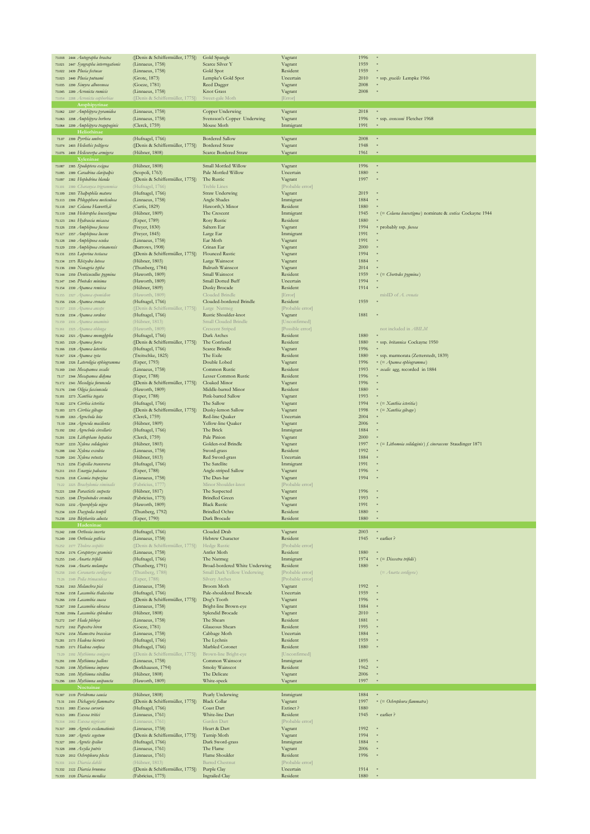| 73.018           | 2444 Autographa bractea                                          | ([Denis & Schiffermüller, 1775])                     | Gold Spangle                                    | Vagrant                      | 1996         |                                                            |
|------------------|------------------------------------------------------------------|------------------------------------------------------|-------------------------------------------------|------------------------------|--------------|------------------------------------------------------------|
|                  | 73.021 2447 Syngrapha interrogationis                            | (Linnaeus, 1758)                                     | Scarce Silver Y                                 | Vagrant                      | 1959         |                                                            |
|                  | 73.022 2439 Plusia festucae                                      | (Linnaeus, 1758)                                     | Gold Spot                                       | Resident                     | 1959         |                                                            |
|                  | 73.023 2440 Plusia putnami                                       | (Grote, 1873)                                        | Lempke's Gold Spot                              | Uncertain                    | 2010         | * ssp. gracilis Lempke 1966                                |
| 73.035           | 2290 Simyra alborenosa                                           | (Goeze, 1781)                                        | Reed Dagger                                     | Vagrant                      | 2008         |                                                            |
| 73.045           | 2289 Acronicta rumicis                                           | (Linnaeus, 1758)                                     | Knot Grass                                      | Vagrant                      | 2008         |                                                            |
|                  | 2288 Acronicta euphorbia                                         | ([Denis & Schiffermüller, 1775])                     | Sweet-gale Moth                                 | [Error]                      |              |                                                            |
|                  | Amphipyrinae                                                     | (Linnaeus, 1758)                                     |                                                 |                              | 2018         |                                                            |
|                  | 73.062 2297 Amphipyra pyramidea<br>73.063 2298 Amphipyra berbera | (Linnaeus, 1758)                                     | Copper Underwing<br>Svensson's Copper Underwing | Vagrant                      | 1996         | * ssp. svenssoni Fletcher 1968                             |
|                  | 73.064 2299 Amphipyra tragopoginis                               | (Clerck, 1759)                                       | Mouse Moth                                      | Vagrant<br>Immigrant         | 1991         |                                                            |
|                  | Heliothinae                                                      |                                                      |                                                 |                              |              |                                                            |
|                  | 73.07 2399 Pyrrhia umbra                                         | (Hufnagel, 1766)                                     | <b>Bordered Sallow</b>                          | Vagrant                      | 2008         |                                                            |
|                  | 73.074 2403 Heliothis peltigera                                  | ([Denis & Schiffermüller, 1775])                     | <b>Bordered Straw</b>                           | Vagrant                      | 1948         |                                                            |
| 73.076           | 2400 Helicoverpa armigera                                        | (Hübner, 1808)                                       | <b>Scarce Bordered Straw</b>                    | Vagrant                      | 1961         |                                                            |
|                  |                                                                  |                                                      |                                                 |                              |              |                                                            |
|                  | 73.087 2385 Spodoptera exigua                                    | (Hübner, 1808)                                       | Small Mottled Willow                            | Vagrant                      | 1996         | $\ast$                                                     |
| 73,095           | 2389 Caradrina clavipalpis                                       | (Scopoli, 1763)                                      | Pale Mottled Willow                             | Uncertain                    | 1880         |                                                            |
| 73.097           | 2382 Hoplodrina blanda                                           | ([Denis & Schiffermüller, 1775])                     | The Rustic                                      | Vagrant                      | 1997         |                                                            |
| 73.101           | 2380 Charanyca trigrammica                                       | (Hufnagel, 1766)                                     | <b>Treble Lines</b>                             | [Probable error]             |              |                                                            |
| 73.109           | 2303 Thalpophila matura                                          | (Hufnagel, 1766)                                     | <b>Straw Underwing</b>                          | Vagrant                      | 2019         |                                                            |
| 73.113           | 2306 Phlogophora meticulosa                                      | (Linnaeus, 1758)                                     | Angle Shades                                    | Immigrant                    | 1884         |                                                            |
| 73.118<br>73.119 | 2367 Celaena Haworth,ii<br>2368 Helotropha leucostigma           | (Curtis, 1829)<br>(Hübner, 1809)                     | Haworth,'s Minor<br>The Crescent                | Resident<br>Immigrant        | 1880<br>1945 | * (= Celaena leucostigma) nominate & scotica Cockayne 1944 |
| 73.123           | 2361 Hydraecia micacea                                           | (Esper, 1789)                                        | <b>Rosy Rustic</b>                              | Resident                     | 1880         |                                                            |
| 73.126           | 2358 Amphipoea fucosa                                            | (Freyer, 1830)                                       | Saltern Ear                                     | Vagrant                      | 1994         | * probably ssp. fucosa                                     |
| 73.127           | 2357 Amphipoea lucens                                            | (Freyer, 1845)                                       | Large Ear                                       | Immigrant                    | 1991         |                                                            |
| 73.128           | 2360 Amphipoea oculea                                            | (Linnaeus, 1758)                                     | Ear Moth                                        | Vagrant                      | 1991         |                                                            |
| 73.129           | 2359 Amphipoea crinanensis                                       | (Burrows, 1908)                                      | Crinan Ear                                      | Vagrant                      | 2000         |                                                            |
| 73.131           | 2353 Luperina testacea                                           | ([Denis & Schiffermüller, 1775])                     | <b>Flounced Rustic</b>                          | Vagrant                      | 1994         |                                                            |
| 73.134           | 2375 Rhizedra lutosa                                             | (Hübner, 1803)                                       | Large Wainscot                                  | Vagrant                      | 1884         |                                                            |
| 73.136           | 2369 Nonagria typha                                              | (Thunberg, 1784)                                     | <b>Bulrush Wainscot</b>                         | Vagrant                      | 2014         |                                                            |
| 73.144           | 2350 Denticucullus pygmina                                       | (Haworth, 1809)                                      | Small Wainscot                                  | Resident                     | 1959         | $=$ ( $=$ Chortedes pygmina)                               |
| 73.147           | 2345 Photedes minima                                             | (Haworth, 1809)                                      | Small Dotted Buff                               | Uncertain                    | 1994         |                                                            |
| 73.154           | 2330 Apamea remissa<br>2327 Apamea epomidion                     | (Hübner, 1809)                                       | Dusky Brocade<br>Clouded Brindle                | Resident                     | 1914         | misID of A. crenata                                        |
| 73.155<br>73.156 | 2326 Apamea crenata                                              | (Haworth, 1809)<br>(Hufnagel, 1766)                  | Clouded-bordered Brindle                        | [Error]<br>Resident          | 1959         |                                                            |
| 73.157           | 2333 Apamea anceps                                               | ([Denis & Schiffermüller, 1775])                     | Large Nutmeg                                    | [Probable error]             |              |                                                            |
|                  | 73.158 2334 Apamea sordens                                       | (Hufnagel, 1766)                                     | Rustic Shoulder-knot                            | Vagrant                      | 1881         |                                                            |
| 73.159           | 2331 Apamea unaminis                                             | (Hübner, 1813)                                       | Small Clouded Brindle                           | [Unconfirmed]                |              |                                                            |
| 73.161           | 2325 Apamea oblonga                                              | (Haworth, 1809)                                      | <b>Crescent Striped</b>                         | [Possible error]             |              | not included in ABILM                                      |
| 73.162           | 2321 Apamea monoglypha                                           | (Hufnagel, 1766)                                     | Dark Arches                                     | Resident                     | 1880         |                                                            |
| 73.165           | 2329 Apamea furva                                                | ([Denis & Schiffermüller, 1775])                     | The Confused                                    | Resident                     | 1880         | * ssp. britannica Cockayne 1950                            |
| 73.166           | 2328 Apamea lateritia                                            | (Hufnagel, 1766)                                     | Scarce Brindle                                  | Vagrant                      | 1996         |                                                            |
| 73.167           | 2324 Apamea zeta                                                 | (Treitschke, 1825)                                   | The Exile                                       | Resident                     | 1880         | * ssp. marmorata (Zetterstedt, 1839)                       |
| 73.168           | 2326 Lateroligia ophiogramma                                     | (Esper, 1793)                                        | Double Lobed                                    | Vagrant                      | 1996         | $*$ (= Apamea ophiogramma)                                 |
| 73.169           | 2343 Mesapamea secalis                                           | (Linnaeus, 1758)                                     | Common Rustic                                   | Resident                     | 1993         | * secalis agg. recorded in 1884                            |
| 73.17            | 2344 Mesapamea didyma                                            | (Esper, 1788)                                        | Lesser Common Rustic                            | Resident                     | 1996         |                                                            |
| 73.172           | 2341 Mesoligia furuncula                                         | ([Denis & Schiffermüller, 1775])                     | Cloaked Minor                                   | Vagrant                      | 1996         |                                                            |
| 73.176           | 2340 Oligia fasciuncula                                          | (Haworth, 1809)                                      | Middle-barred Minor                             | Resident                     | 1880         |                                                            |
| 73.181<br>73.182 | 2273 Xanthia togata<br>2274 Cirrhia icteritia                    | (Esper, 1788)<br>(Hufnagel, 1766)                    | Pink-barred Sallow<br>The Sallow                | Vagrant<br>Vagrant           | 1993<br>1994 | $=$ $\{ = Xanthia\; icteritia)$                            |
| 73.183           | 2275 Cirrhia gilvago                                             | ([Denis & Schiffermüller, 1775])                     | Dusky-lemon Sallow                              | Vagrant                      | 1998         | $*$ (= Xanthia gilvago)                                    |
| 73.189           | 2263 Agrochola lota                                              | (Clerck, 1759)                                       | Red-line Quaker                                 | Uncertain                    | 2004         |                                                            |
| 73.19            | 2264 Agrocola macilenta                                          | (Hübner, 1809)                                       | Yellow-line Quaker                              | Vagrant                      | 2006         |                                                            |
| 73.192           | 2262 Agrochola circellaris                                       | (Hufnagel, 1766)                                     | The Brick                                       | Immigrant                    | 1884         |                                                            |
|                  |                                                                  |                                                      |                                                 |                              |              |                                                            |
| 73.201           | 2236 Lithophane hepatica                                         | (Clerck, 1759)                                       | Pale Pinion                                     | Vagrant                      | 2000         |                                                            |
| 73.207           | 2233 Xylena solidaginis                                          | (Hübner, 1803)                                       | Golden-rod Brindle                              | Vagrant                      | 1997         | * (= Lithomoia solidaginis) f. cinerascens Staudinger 1871 |
| 73.208           | 2242 Xylena exsoleta                                             | (Linnaeus, 1758)                                     | Sword-grass                                     | Resident                     | 1992         |                                                            |
| 73.209           | 2241 Xylena vetusta                                              | (Hübner, 1813)                                       | Red Sword-grass                                 | Uncertain                    | 1884         |                                                            |
|                  | 73.21 2256 Eupsilia transversa                                   | (Hufnagel, 1766)                                     | The Satellite                                   | Immigrant                    | 1991         |                                                            |
|                  | 73.211 2313 Enargia paleacea                                     | (Esper, 1788)                                        | Angle-striped Sallow                            | Vagrant                      | 1996         |                                                            |
| 73.216           | 2318 Cosmia trapezina                                            | (Linnaeus, 1758)                                     | The Dun-bar                                     | Vagrant                      | 1994         |                                                            |
| 73.22            | 2225 Brachylomia viminalis                                       | (Fabricius, 1777                                     | Minor Shoulder-knot                             | [Probable error]             |              |                                                            |
|                  | 73.221 2268 Parastictis suspecta                                 | (Hübner, 1817)                                       | The Suspected                                   | Vagrant                      | 1996         |                                                            |
|                  | 73.225 2248 Dryobotodes eremita                                  | (Fabricius, 1775)                                    | <b>Brindled Green</b>                           | Vagrant                      | 1995         |                                                            |
|                  | 73.233 2232 Aporophyla nigra                                     | (Haworth, 1809)                                      | <b>Black Rustic</b><br><b>Brindled Ochre</b>    | Vagrant                      | 1991<br>1880 |                                                            |
|                  | 73.234 2229 Dasypolia templi<br>73.238 2250 Blepharita adusta    | (Thunberg, 1792)<br>(Esper, 1790)                    | Dark Brocade                                    | Resident<br>Resident         | 1880         |                                                            |
|                  | Hadeninae                                                        |                                                      |                                                 |                              |              |                                                            |
|                  | 73.242 2188 Orthosia incerta                                     | (Hufnagel, 1766)                                     | Clouded Drab                                    | Vagrant                      | 2003         | $\ast$                                                     |
|                  | 73.249 2190 Orthosia gothica                                     | (Linnaeus, 1758)                                     | Hebrew Character                                | Resident                     | 1945         | * earlier ?                                                |
| 73.252           | 2177 Tholera cespitis                                            | ([Denis & Schiffermüller, 1775])                     | Hedge Rustic                                    | [Probable error]             |              |                                                            |
|                  | 73.254 2176 Cerapteryx graminis                                  | (Linnaeus, 1758)                                     | Antler Moth                                     | Resident                     | 1880         |                                                            |
|                  | 73.255 2145 Anarta trifolii                                      | (Hufnagel, 1766)                                     | The Nutmeg                                      | Immigrant                    | 1974         | $=$ (= Discestra trifolii)                                 |
| 73.256           | 2144 Anarta melanopa                                             | (Thunberg, 1791)                                     | Broad-bordered White Underwing                  | Resident                     | 1880         |                                                            |
| 73.258           | 2143 Coranarta cordigera                                         | (Thunberg, 1788)                                     | Small Dark Yellow Underwing                     | [Probable error]             |              | (= Anarta cordigera)                                       |
| 73.26            | 2149 Polia trimaculosa                                           | (Esper, 1788)                                        | Silvery Arches                                  | [Probable error]             |              |                                                            |
| 73.261<br>73.264 | 2163 Melanchra pisi<br>2158 Lacanobia thalassina                 | (Linnaeus, 1758)<br>(Hufnagel, 1766)                 | Broom Moth<br>Pale-shouldered Brocade           | Vagrant<br>Uncertain         | 1992<br>1959 |                                                            |
|                  | 73.266 2159 Lacanobia suasa                                      |                                                      |                                                 |                              | 1996         |                                                            |
|                  | 73.267 2160 Lacanobia oleracea                                   | ([Denis & Schiffermüller, 1775])<br>(Linnaeus, 1758) | Dog's Tooth<br>Bright-line Brown-eye            | Vagrant<br>Vagrant           | 1884         |                                                            |
|                  | 73.268 2160a Lacanobia splendens                                 | (Hübner, 1808)                                       | Splendid Brocade                                | Vagrant                      | 2010         |                                                            |
|                  | 73.272 2147 Hada plebeja                                         | (Linnaeus, 1758)                                     | The Shears                                      | Resident                     | 1881         |                                                            |
|                  | 73.272 2162 Papestra biren                                       | (Goeze, 1781)                                        | Glaucous Shears                                 | Resident                     | 1995         |                                                            |
| 73.274           | 2154 Mamestra brassicae                                          | (Linnaeus, 1758)                                     | Cabbage Moth                                    | Uncertain                    | 1884         |                                                            |
| 73.281           | 2173 Hadena bicruris                                             | (Hufnagel, 1766)                                     | The Lychnis                                     | Resident                     | 1959         |                                                            |
| 73.283           | 2171 Hadena confusa                                              | (Hufnagel, 1766)                                     | Marbled Coronet                                 | Resident                     | 1880         |                                                            |
| 73.29            | 2192 Mythimna conigera                                           | ([Denis & Schiffermüller, 1775])                     | Brown-line Bright-eye                           | [Unconfirmed]                |              |                                                            |
| 73.291           | 2199 Mythimna pallens                                            | (Linnaeus, 1758)                                     | Common Wainscot                                 | Immigrant                    | 1895         |                                                            |
| 73.293<br>73.295 | 2198 Mythimna impura                                             | (Borkhausen, 1794)                                   | Smoky Wainscot                                  | Resident                     | 1962         |                                                            |
| 73.296           | 2195 Mythimna vitellina<br>2203 Mythimna unipuncta               | (Hübner, 1808)<br>(Haworth, 1809)                    | The Delicate<br>White-speck                     | Vagrant<br>Vagrant           | 2006<br>1997 |                                                            |
|                  | Noctuinae                                                        |                                                      |                                                 |                              |              |                                                            |
|                  | 73.307 2119 Peridroma saucia                                     | (Hübner, 1808)                                       | Pearly Underwing                                | Immigrant                    | 1884         |                                                            |
| 73.31            | 2101 Dichagyris flammatra                                        | ([Denis & Schiffermüller, 1775])                     | <b>Black Collar</b>                             | Vagrant                      | 1997         | * (= Ochropleura flammatra)                                |
| 73.311           | 2083 Euxoa cursoria                                              | (Hufnagel, 1766)                                     | Coast Dart                                      | Extinct?                     | 1880         |                                                            |
| 73.313           | 2081 Euxoa tritici                                               | (Linnaeus, 1761)                                     | White-line Dart                                 | Resident                     | 1945         | * earlier ?                                                |
| 73.314           | 2082 Euxoa nigricans                                             | (Linnaeus, 1761)                                     | Garden Dart                                     | [Probable error]             |              |                                                            |
| 73.317           | 2089 Agrotis exclamationis                                       | (Linnaeus, 1758)                                     | Heart & Dart                                    | Vagrant                      | 1992         |                                                            |
| 73.319           | 2087 Agrotis segetum                                             | ([Denis & Schiffermüller, 1775]]                     | Turnip Moth                                     | Vagrant                      | 1994         |                                                            |
|                  | 73.327 2091 Agrotis ipsilon                                      | (Hufnagel, 1766)                                     | Dark Sword-grass                                | Immigrant                    | 1884         |                                                            |
| 73.328           | 2098 Axylia putris                                               | (Linnaeus, 1761)                                     | The Flame                                       | Vagrant                      | 2006         |                                                            |
| 73.329<br>73.331 | 2012 Ochropleura plecta<br>2121 Diarsia dablii                   | (Linnaeus, 1761)<br>(Hübner, 1813)                   | Flame Shoulder<br><b>Barred Chestnut</b>        | Resident<br>[Probable error] | 1996         |                                                            |
|                  | 73.332 2122 Diarsia brunnea                                      | ([Denis & Schiffermüller, 1775])                     | Purple Clay                                     | Uncertain                    | 1914         |                                                            |